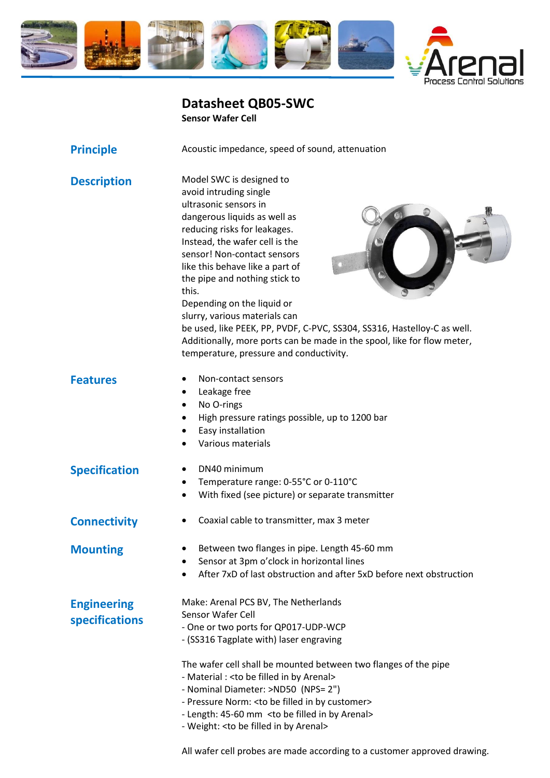



## **Datasheet QB05-SWC**

**Sensor Wafer Cell**

| <b>Principle</b>                            | Acoustic impedance, speed of sound, attenuation                                                                                                                                                                                                                                                                                                                                                                                                                                                                                                           |
|---------------------------------------------|-----------------------------------------------------------------------------------------------------------------------------------------------------------------------------------------------------------------------------------------------------------------------------------------------------------------------------------------------------------------------------------------------------------------------------------------------------------------------------------------------------------------------------------------------------------|
| <b>Description</b>                          | Model SWC is designed to<br>avoid intruding single<br>ultrasonic sensors in<br>dangerous liquids as well as<br>reducing risks for leakages.<br>Instead, the wafer cell is the<br>sensor! Non-contact sensors<br>like this behave like a part of<br>the pipe and nothing stick to<br>this.<br>Depending on the liquid or<br>slurry, various materials can<br>be used, like PEEK, PP, PVDF, C-PVC, SS304, SS316, Hastelloy-C as well.<br>Additionally, more ports can be made in the spool, like for flow meter,<br>temperature, pressure and conductivity. |
| <b>Features</b>                             | Non-contact sensors<br>Leakage free<br>No O-rings<br>High pressure ratings possible, up to 1200 bar<br>٠<br>Easy installation<br>Various materials                                                                                                                                                                                                                                                                                                                                                                                                        |
| <b>Specification</b>                        | DN40 minimum<br>Temperature range: 0-55°C or 0-110°C<br>With fixed (see picture) or separate transmitter                                                                                                                                                                                                                                                                                                                                                                                                                                                  |
| <b>Connectivity</b>                         | Coaxial cable to transmitter, max 3 meter                                                                                                                                                                                                                                                                                                                                                                                                                                                                                                                 |
| <b>Mounting</b>                             | Between two flanges in pipe. Length 45-60 mm<br>Sensor at 3pm o'clock in horizontal lines<br>After 7xD of last obstruction and after 5xD before next obstruction                                                                                                                                                                                                                                                                                                                                                                                          |
| <b>Engineering</b><br><b>specifications</b> | Make: Arenal PCS BV, The Netherlands<br>Sensor Wafer Cell<br>- One or two ports for QP017-UDP-WCP<br>- (SS316 Tagplate with) laser engraving<br>The wafer cell shall be mounted between two flanges of the pipe<br>- Material : < to be filled in by Arenal><br>- Nominal Diameter: >ND50 (NPS= 2")<br>- Pressure Norm: < to be filled in by customer><br>- Length: 45-60 mm <to arenal="" be="" by="" filled="" in=""><br/>- Weight: &lt; to be filled in by Arenal&gt;</to>                                                                             |

All wafer cell probes are made according to a customer approved drawing.